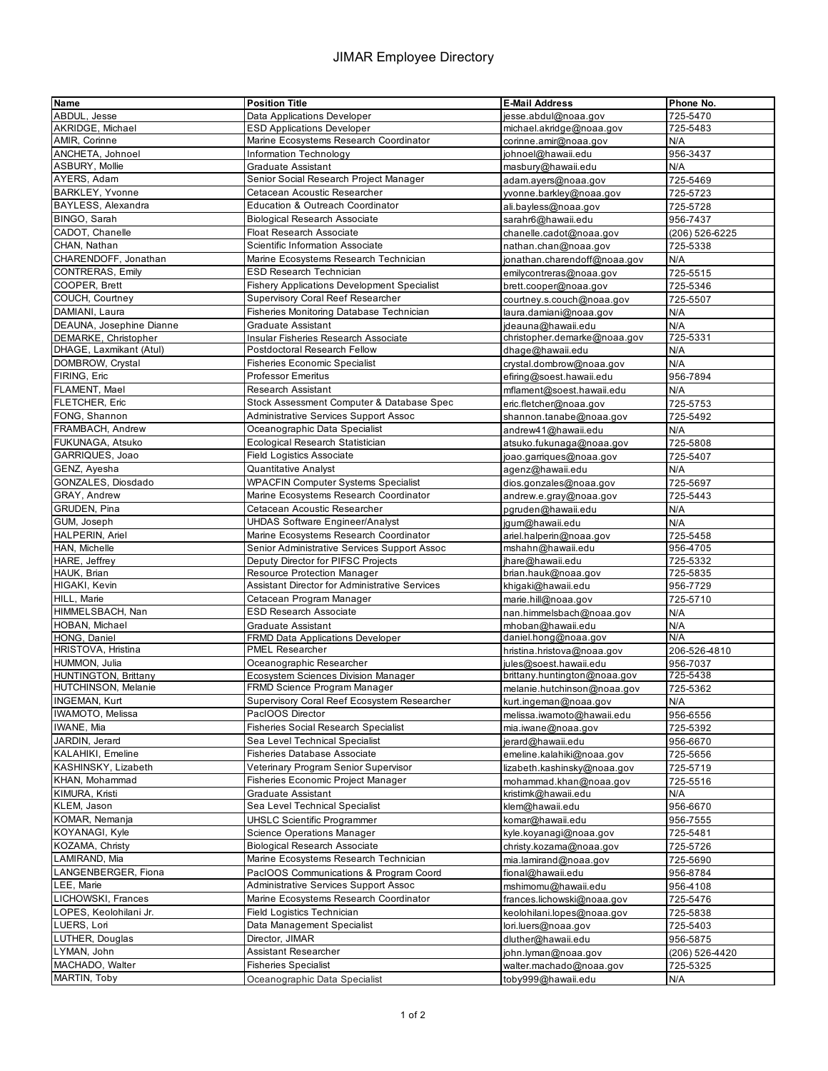## JIMAR Employee Directory

| Name                        | <b>Position Title</b>                                             | <b>E-Mail Address</b>        | Phone No.      |
|-----------------------------|-------------------------------------------------------------------|------------------------------|----------------|
| ABDUL, Jesse                | Data Applications Developer                                       | jesse.abdul@noaa.gov         | 725-5470       |
| AKRIDGE, Michael            | <b>ESD Applications Developer</b>                                 | michael.akridge@noaa.gov     | 725-5483       |
| AMIR, Corinne               | Marine Ecosystems Research Coordinator                            | corinne.amir@noaa.gov        | N/A            |
| ANCHETA, Johnoel            | Information Technology                                            | johnoel@hawaii.edu           | 956-3437       |
| ASBURY, Mollie              |                                                                   |                              |                |
|                             | <b>Graduate Assistant</b>                                         | masbury@hawaii.edu           | N/A            |
| AYERS, Adam                 | Senior Social Research Project Manager                            | adam.ayers@noaa.gov          | 725-5469       |
| BARKLEY, Yvonne             | Cetacean Acoustic Researcher                                      | yvonne.barkley@noaa.gov      | 725-5723       |
| BAYLESS, Alexandra          | Education & Outreach Coordinator                                  | ali.bayless@noaa.gov         | 725-5728       |
| BINGO, Sarah                | <b>Biological Research Associate</b>                              | sarahr6@hawaii.edu           | 956-7437       |
| CADOT, Chanelle             | <b>Float Research Associate</b>                                   | chanelle.cadot@noaa.gov      | (206) 526-6225 |
| CHAN, Nathan                | Scientific Information Associate                                  | nathan.chan@noaa.gov         | 725-5338       |
| CHARENDOFF, Jonathan        | Marine Ecosystems Research Technician                             | jonathan.charendoff@noaa.gov | N/A            |
|                             | <b>ESD Research Technician</b>                                    |                              |                |
| CONTRERAS, Emily            |                                                                   | emilycontreras@noaa.gov      | 725-5515       |
| COOPER, Brett               | <b>Fishery Applications Development Specialist</b>                | brett.cooper@noaa.gov        | 725-5346       |
| COUCH, Courtney             | Supervisory Coral Reef Researcher                                 | courtney.s.couch@noaa.gov    | 725-5507       |
| DAMIANI, Laura              | Fisheries Monitoring Database Technician                          | laura.damiani@noaa.gov       | N/A            |
| DEAUNA, Josephine Dianne    | <b>Graduate Assistant</b>                                         | jdeauna@hawaii.edu           | N/A            |
| DEMARKE, Christopher        | Insular Fisheries Research Associate                              | christopher.demarke@noaa.gov | 725-5331       |
| DHAGE, Laxmikant (Atul)     | Postdoctoral Research Fellow                                      | dhage@hawaii.edu             | N/A            |
| DOMBROW, Crystal            | <b>Fisheries Economic Specialist</b>                              | crystal.dombrow@noaa.gov     | N/A            |
| FIRING, Eric                | <b>Professor Emeritus</b>                                         | efiring@soest.hawaii.edu     | 956-7894       |
| FLAMENT, Mael               | <b>Research Assistant</b>                                         |                              |                |
|                             |                                                                   | mflament@soest.hawaii.edu    | N/A            |
| FLETCHER, Eric              | Stock Assessment Computer & Database Spec                         | eric.fletcher@noaa.gov       | 725-5753       |
| FONG, Shannon               | <b>Administrative Services Support Assoc</b>                      | shannon.tanabe@noaa.gov      | 725-5492       |
| FRAMBACH, Andrew            | Oceanographic Data Specialist                                     | andrew41@hawaii.edu          | N/A            |
| FUKUNAGA, Atsuko            | Ecological Research Statistician                                  | atsuko.fukunaga@noaa.gov     | 725-5808       |
| GARRIQUES, Joao             | <b>Field Logistics Associate</b>                                  | joao.garriques@noaa.gov      | 725-5407       |
| GENZ, Ayesha                | <b>Quantitative Analyst</b>                                       | agenz@hawaii.edu             | N/A            |
| GONZALES, Diosdado          | <b>WPACFIN Computer Systems Specialist</b>                        | dios.gonzales@noaa.gov       | 725-5697       |
| GRAY, Andrew                | Marine Ecosystems Research Coordinator                            |                              |                |
|                             |                                                                   | andrew.e.gray@noaa.gov       | 725-5443       |
| GRUDEN, Pina                | Cetacean Acoustic Researcher                                      | pgruden@hawaii.edu           | N/A            |
| GUM, Joseph                 | <b>UHDAS Software Engineer/Analyst</b>                            | jgum@hawaii.edu              | N/A            |
| HALPERIN, Ariel             | Marine Ecosystems Research Coordinator                            | ariel.halperin@noaa.gov      | 725-5458       |
| HAN, Michelle               | Senior Administrative Services Support Assoc                      | mshahn@hawaii.edu            | 956-4705       |
| HARE, Jeffrey               | Deputy Director for PIFSC Projects                                | jhare@hawaii.edu             | 725-5332       |
| HAUK, Brian                 | Resource Protection Manager                                       | brian.hauk@noaa.gov          | 725-5835       |
| HIGAKI, Kevin               | <b>Assistant Director for Administrative Services</b>             | khigaki@hawaii.edu           | 956-7729       |
| HILL, Marie                 | Cetacean Program Manager                                          | marie.hill@noaa.gov          | 725-5710       |
| HIMMELSBACH, Nan            | <b>ESD Research Associate</b>                                     | nan.himmelsbach@noaa.gov     | N/A            |
| HOBAN, Michael              |                                                                   |                              |                |
|                             | Graduate Assistant                                                | mhoban@hawaii.edu            | N/A<br>N/A     |
| HONG, Daniel                | <b>FRMD Data Applications Developer</b><br><b>PMEL Researcher</b> | daniel.hong@noaa.gov         |                |
| HRISTOVA, Hristina          |                                                                   | hristina.hristova@noaa.gov   | 206-526-4810   |
| HUMMON, Julia               | Oceanographic Researcher                                          | jules@soest.hawaii.edu       | 956-7037       |
| <b>HUNTINGTON, Brittany</b> | Ecosystem Sciences Division Manager                               | brittany.huntington@noaa.gov | 725-5438       |
| HUTCHINSON, Melanie         | FRMD Science Program Manager                                      | melanie.hutchinson@noaa.gov  | 725-5362       |
| INGEMAN, Kurt               | Supervisory Coral Reef Ecosystem Researcher                       | kurt.ingeman@noaa.gov        | N/A            |
| IWAMOTO, Melissa            | PacIOOS Director                                                  | melissa.iwamoto@hawaii.edu   | 956-6556       |
| IWANE, Mia                  | <b>Fisheries Social Research Specialist</b>                       | mia.iwane@noaa.gov           | 725-5392       |
| JARDIN, Jerard              | Sea Level Technical Specialist                                    | jerard@hawaii.edu            | 956-6670       |
| KALAHIKI, Emeline           | <b>Fisheries Database Associate</b>                               | emeline.kalahiki@noaa.gov    | 725-5656       |
| KASHINSKY, Lizabeth         | Veterinary Program Senior Supervisor                              | lizabeth.kashinsky@noaa.gov  | 725-5719       |
|                             |                                                                   |                              |                |
| KHAN, Mohammad              | Fisheries Economic Project Manager                                | mohammad.khan@noaa.gov       | 725-5516       |
| KIMURA, Kristi              | Graduate Assistant                                                | kristimk@hawaii.edu          | N/A            |
| KLEM, Jason                 | Sea Level Technical Specialist                                    | klem@hawaii.edu              | 956-6670       |
| KOMAR, Nemanja              | <b>UHSLC Scientific Programmer</b>                                | komar@hawaii.edu             | 956-7555       |
| KOYANAGI, Kyle              | Science Operations Manager                                        | kyle.koyanagi@noaa.gov       | 725-5481       |
| KOZAMA, Christy             | <b>Biological Research Associate</b>                              | christy.kozama@noaa.gov      | 725-5726       |
| LAMIRAND, Mia               | Marine Ecosystems Research Technician                             | mia.lamirand@noaa.gov        | 725-5690       |
| LANGENBERGER, Fiona         | PacIOOS Communications & Program Coord                            | fional@hawaii.edu            | 956-8784       |
| LEE, Marie                  |                                                                   |                              |                |
|                             | <b>Administrative Services Support Assoc</b>                      | mshimomu@hawaii.edu          | 956-4108       |
| LICHOWSKI, Frances          | Marine Ecosystems Research Coordinator                            | frances.lichowski@noaa.gov   | 725-5476       |
| LOPES, Keolohilani Jr.      | <b>Field Logistics Technician</b>                                 | keolohilani.lopes@noaa.gov   | 725-5838       |
| LUERS, Lori                 | Data Management Specialist                                        | lori.luers@noaa.gov          | 725-5403       |
| LUTHER, Douglas             | Director, JIMAR                                                   | dluther@hawaii.edu           | 956-5875       |
| LYMAN, John                 | Assistant Researcher                                              | john.lyman@noaa.gov          | (206) 526-4420 |
| MACHADO, Walter             | <b>Fisheries Specialist</b>                                       | walter.machado@noaa.gov      | 725-5325       |
| MARTIN, Toby                | Oceanographic Data Specialist                                     | toby999@hawaii.edu           | N/A            |
|                             |                                                                   |                              |                |